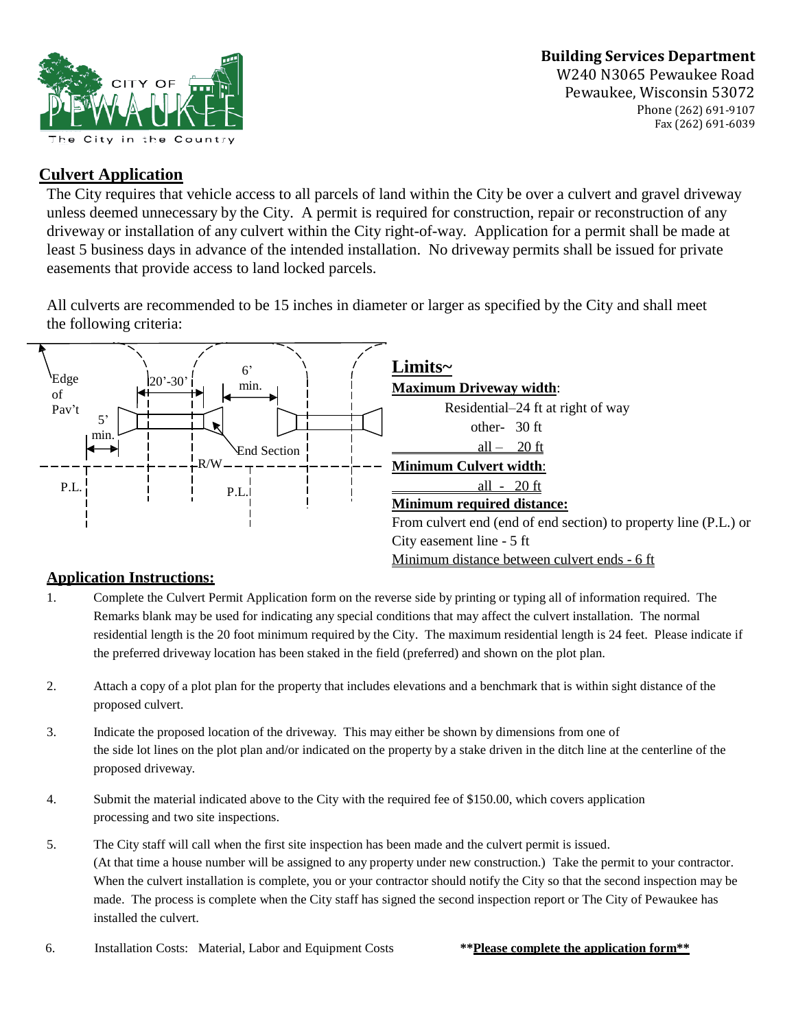## **Building Services Department**



W240 N3065 Pewaukee Road Pewaukee, Wisconsin 53072 Phone (262) 691-9107 Fax (262) 691-6039

## **Culvert Application**

The City requires that vehicle access to all parcels of land within the City be over a culvert and gravel driveway unless deemed unnecessary by the City. A permit is required for construction, repair or reconstruction of any driveway or installation of any culvert within the City right-of-way. Application for a permit shall be made at least 5 business days in advance of the intended installation. No driveway permits shall be issued for private easements that provide access to land locked parcels.

All culverts are recommended to be 15 inches in diameter or larger as specified by the City and shall meet the following criteria:



## **Application Instructions:**

- 1. Complete the Culvert Permit Application form on the reverse side by printing or typing all of information required. The Remarks blank may be used for indicating any special conditions that may affect the culvert installation. The normal residential length is the 20 foot minimum required by the City. The maximum residential length is 24 feet. Please indicate if the preferred driveway location has been staked in the field (preferred) and shown on the plot plan.
- 2. Attach a copy of a plot plan for the property that includes elevations and a benchmark that is within sight distance of the proposed culvert.
- 3. Indicate the proposed location of the driveway. This may either be shown by dimensions from one of the side lot lines on the plot plan and/or indicated on the property by a stake driven in the ditch line at the centerline of the proposed driveway.
- 4. Submit the material indicated above to the City with the required fee of \$150.00, which covers application processing and two site inspections.
- 5. The City staff will call when the first site inspection has been made and the culvert permit is issued. (At that time a house number will be assigned to any property under new construction.) Take the permit to your contractor. When the culvert installation is complete, you or your contractor should notify the City so that the second inspection may be made. The process is complete when the City staff has signed the second inspection report or The City of Pewaukee has installed the culvert.
- 6. Installation Costs: Material, Labor and Equipment Costs **\*\*Please complete the application form\*\***